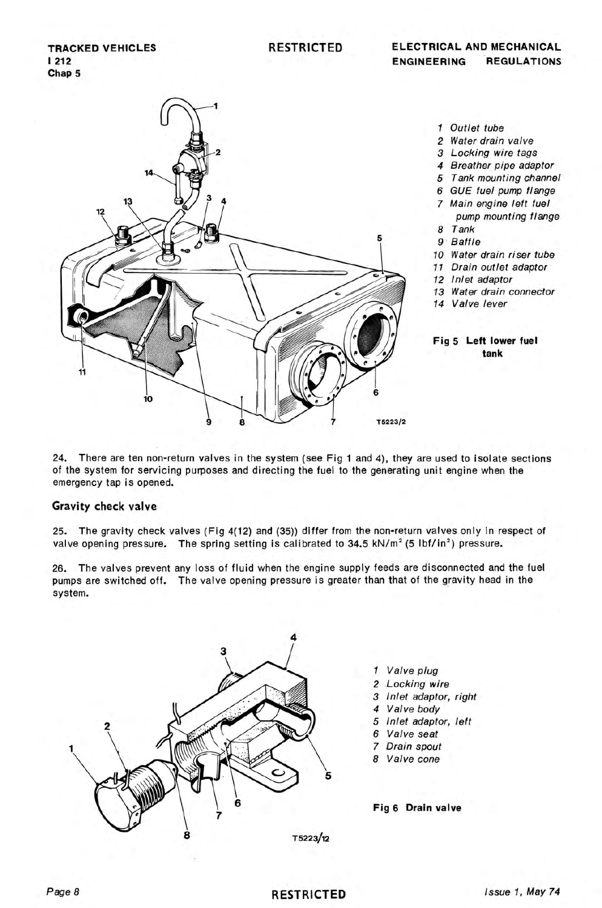

- 1 Outlet tube
- 2 Water drain valve
- 3 Locking wire tags
- 4 Breather pipe adaptor
- 5 Tank mounting channel
- 6 GUE fuel pump flange
- 7 Main engine left fuel
- pump mounting flange 8 Tank
- 9 Baffle
- 10 Water drain riser tube
- 11 Drain outlet adaptor
- 
- 12 Inlet adaptor
- 13 Water drain connector
- 14 Valve lever

**Fig 5 Left lower fuel tank** 

24. There are ten non-return valves in the system (see Fig 1 and 4), they are used to isolate sections of the system for servicing purposes and directing the fuel to the generating unit engine when the emergency tap is opened.

### **Gravity check valve**

25. The gravity check valves (Fig 4(12) and (35)) differ from the non-return valves only in respect of valve opening pressure. The spring setting is calibrated to  $34.5 \text{ kN/m}^2$  (5 lbf/in<sup>2</sup>) pressure.

26. The valves prevent any loss of fluid when the engine supply feeds are disconnected and the fuel pumps are switched off. The valve opening pressure is greater than that of the gravity head in the system.



- *1* Valve plug
- *2* Locking wire
- 3 Inlet adaptor, right
- *4* Valve body
- *5* Inlet adaptor, left
- 6 Valve seat
- *7* Drain spout
- *8* Valve cone

**Fig 6 Drain valve**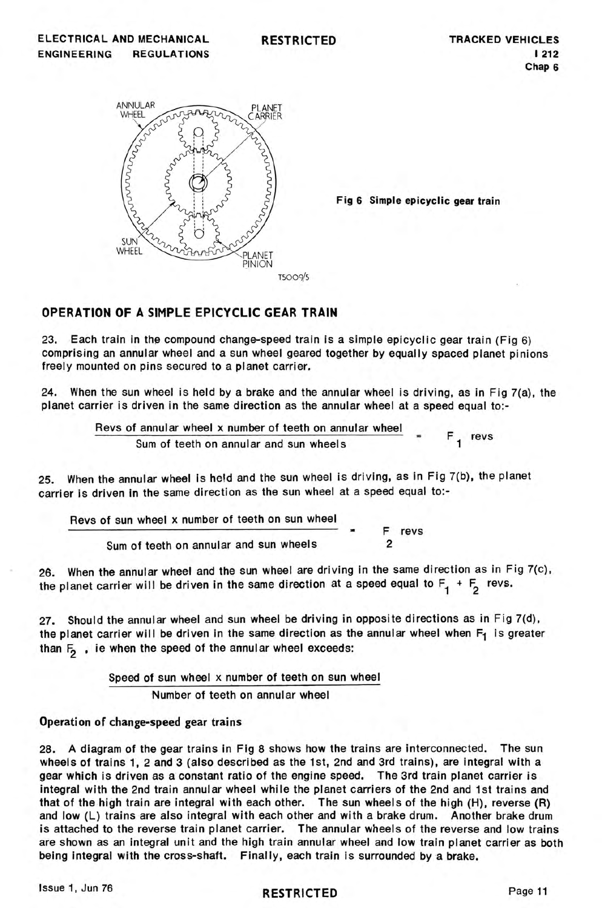

Fig 6 Simple epicyclic gear train

# OPERATION OF A SIMPLE EPICYCLIC GEAR TRAIN

23. Each train in the compound change-speed train is a simple epicyclic gear train (Fig 6) comprising an annular wheel and a sun wheel geared together by equally spaced planet pinions freely mounted on pins secured to a planet carrier.

24. When the sun wheel is held by a brake and the annular wheel is driving, as in Fig 7(a), the planet carrier is driven in the same direction as the annular wheel at a speed equal to:-

> Revs of annular wheel x number of teeth on annular wheel  $S$ um of teeth on annular and sun wheels  $\begin{bmatrix} 1 \\ - \\ 1 \end{bmatrix}$  revs

25. When the annular wheel Is held and the sun wheel is driving, as in Fig 7(b), the planet carrier is driven in the same direction as the sun wheel at a speed equal to:-

Revs of sun wheel x number of teeth on sun wheel Sum of teeth on annular and sun wheels F revs 2

When the annular wheel and the sun wheel are driving in the same direction as in Fig 7(c), the planet carrier will be driven in the same direction at a speed equal to  $F_1 + F_2$  revs.

27. Should the annular wheel and sun wheel be driving in opposite directions as in Fig  $7(d)$ , the planet carrier will be driven in the same direction as the annular wheel when  $F_1$  is greater than  $F_2$ , ie when the speed of the annular wheel exceeds:

Speed of sun wheel x number of teeth on sun wheel

Number of teeth on annular wheel

## Operation of change-speed gear trains

28. A diagram of the gear trains in Fig 8 shows how the trains are interconnected. The sun wheels of trains 1, 2 and 3 (also described as the 1st, 2nd and 3rd trains), are integral with a gear which is driven as a constant ratio of the engine speed. The3rd train planet carrier is integral with the 2nd train annular wheel while the planet carriers of the 2nd and 1st trains and that of the high train are integral with each other. The sun wheels of the high (H), reverse (R) and low (L) trains are also integral with each other and with a brake drum. Another brake drum is attached to the reverse train planet carrier. The annular wheels of the reverse and low trains are shown as an integral unit and the high train annular wheel and low train planet carrier as both being integral with the cross-shaft. Finally, each train is surrounded by a brake.

Issue 1, Jun 76 **RESTRICTED RESTRICTED**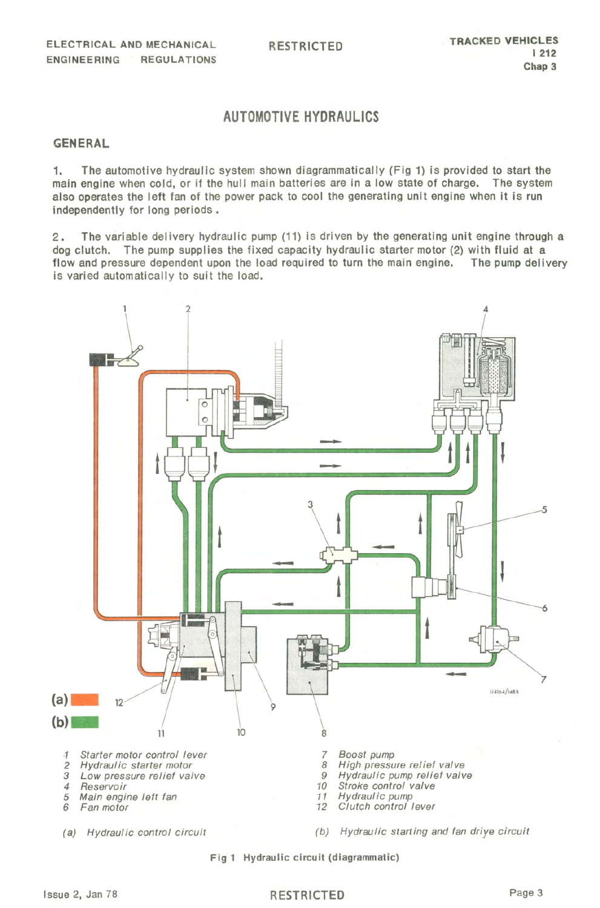# AUTOMOTIVE HYDRAULICS

#### GENERAL

1. The automotive hydraulic system shown diagrammatically (Fig 1) is provided to start the main engine when cold, or if the hull main batteries are in a low state of charge. The system also operates the left fan of the power pack to cool the generating unit engine when it is run independently for long periods.

2. The variable delivery hydraulic pump (11) is driven by the generating unit engine through a dog clutch. The pump supplies the fixed capacity hydraulic starter motor (2) with fluid at a flow and pressure dependent upon the load required to turn the main engine. The pump delivery is varied automatically to suit the load.



Fig 1 Hydraulic circuit (diagrammatic)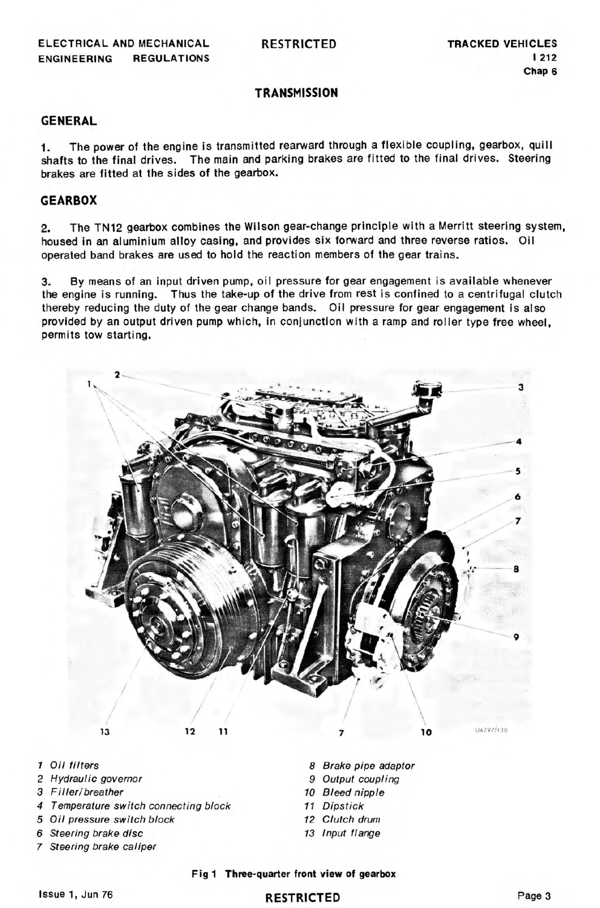RESTRICTED

## **TRANSMISSION**

## GENERAL

1. The power of the engine is transmitted rearward through a flexible coupling, gearbox, quill shafts to the final drives. The main and parking brakes are fitted to the final drives. Steering brakes are fitted at the sides of the gearbox.

## **GEARBOX**

2. The TN12 gearbox combines the Wilson gear-change principle with a Merritt steering system, housed in an aluminium alloy casing, and provides six forward and three reverse ratios. Oil operated band brakes are used to hold the reaction members of the gear trains.

3. By means of an input driven pump, oil pressure for gear engagement is available whenever the engine is running. Thus the take-up of the drive from rest is confined to a centrifugal clutch thereby reducing the duty of the gear change bands. Oil pressure for gear engagement is also provided by an output driven pump which, in conjunction with a ramp and roller type free wheel, permits tow starting.



- 1 Oil filters
- 2 Hydraulic governor
- 3 Filler/breather
- 4 Temperature switch connecting block
- 5 Oil pressure switch block
- 6 Steering brake disc
- 7 Steering brake caliper
- 8 Brake pipe adaptor
- 9 Output coupling
- 10 Bleed nipple
- 11 Dipstick
- 12 Clutch drum
- 13 Input flange

#### Fig 1 Three-quarter front view of gearbox